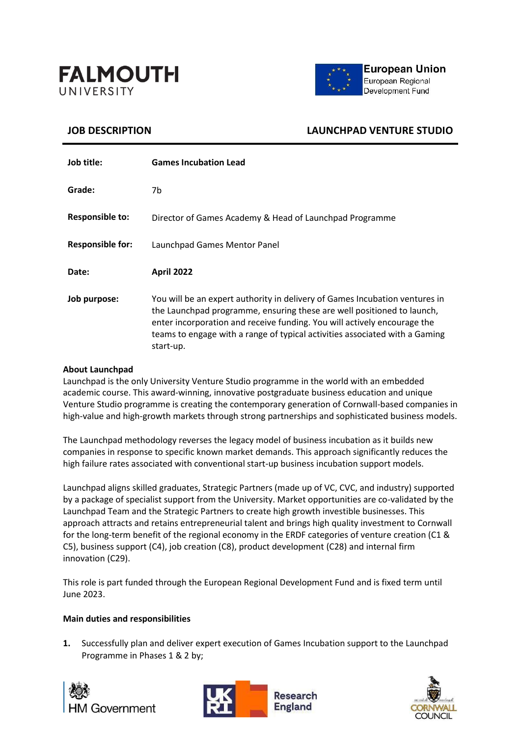



# **JOB DESCRIPTION LAUNCHPAD VENTURE STUDIO**

| Job title:              | <b>Games Incubation Lead</b>                                                                                                                                                                                                                                                                                                  |
|-------------------------|-------------------------------------------------------------------------------------------------------------------------------------------------------------------------------------------------------------------------------------------------------------------------------------------------------------------------------|
| Grade:                  | 7b.                                                                                                                                                                                                                                                                                                                           |
| <b>Responsible to:</b>  | Director of Games Academy & Head of Launchpad Programme                                                                                                                                                                                                                                                                       |
| <b>Responsible for:</b> | Launchpad Games Mentor Panel                                                                                                                                                                                                                                                                                                  |
| Date:                   | <b>April 2022</b>                                                                                                                                                                                                                                                                                                             |
| Job purpose:            | You will be an expert authority in delivery of Games Incubation ventures in<br>the Launchpad programme, ensuring these are well positioned to launch,<br>enter incorporation and receive funding. You will actively encourage the<br>teams to engage with a range of typical activities associated with a Gaming<br>start-up. |

## **About Launchpad**

Launchpad is the only University Venture Studio programme in the world with an embedded academic course. This award-winning, innovative postgraduate business education and unique Venture Studio programme is creating the contemporary generation of Cornwall-based companies in high-value and high-growth markets through strong partnerships and sophisticated business models.

The Launchpad methodology reverses the legacy model of business incubation as it builds new companies in response to specific known market demands. This approach significantly reduces the high failure rates associated with conventional start-up business incubation support models.

Launchpad aligns skilled graduates, Strategic Partners (made up of VC, CVC, and industry) supported by a package of specialist support from the University. Market opportunities are co-validated by the Launchpad Team and the Strategic Partners to create high growth investible businesses. This approach attracts and retains entrepreneurial talent and brings high quality investment to Cornwall for the long-term benefit of the regional economy in the ERDF categories of venture creation (C1 & C5), business support (C4), job creation (C8), product development (C28) and internal firm innovation (C29).

This role is part funded through the European Regional Development Fund and is fixed term until June 2023.

## **Main duties and responsibilities**

**1.** Successfully plan and deliver expert execution of Games Incubation support to the Launchpad Programme in Phases 1 & 2 by;





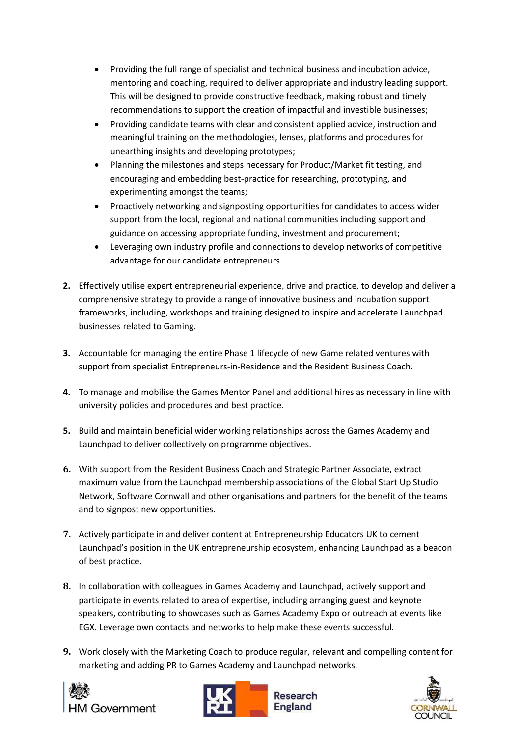- Providing the full range of specialist and technical business and incubation advice, mentoring and coaching, required to deliver appropriate and industry leading support. This will be designed to provide constructive feedback, making robust and timely recommendations to support the creation of impactful and investible businesses;
- Providing candidate teams with clear and consistent applied advice, instruction and meaningful training on the methodologies, lenses, platforms and procedures for unearthing insights and developing prototypes;
- Planning the milestones and steps necessary for Product/Market fit testing, and encouraging and embedding best-practice for researching, prototyping, and experimenting amongst the teams;
- Proactively networking and signposting opportunities for candidates to access wider support from the local, regional and national communities including support and guidance on accessing appropriate funding, investment and procurement;
- Leveraging own industry profile and connections to develop networks of competitive advantage for our candidate entrepreneurs.
- **2.** Effectively utilise expert entrepreneurial experience, drive and practice, to develop and deliver a comprehensive strategy to provide a range of innovative business and incubation support frameworks, including, workshops and training designed to inspire and accelerate Launchpad businesses related to Gaming.
- **3.** Accountable for managing the entire Phase 1 lifecycle of new Game related ventures with support from specialist Entrepreneurs-in-Residence and the Resident Business Coach.
- **4.** To manage and mobilise the Games Mentor Panel and additional hires as necessary in line with university policies and procedures and best practice.
- **5.** Build and maintain beneficial wider working relationships across the Games Academy and Launchpad to deliver collectively on programme objectives.
- **6.** With support from the Resident Business Coach and Strategic Partner Associate, extract maximum value from the Launchpad membership associations of the Global Start Up Studio Network, Software Cornwall and other organisations and partners for the benefit of the teams and to signpost new opportunities.
- **7.** Actively participate in and deliver content at Entrepreneurship Educators UK to cement Launchpad's position in the UK entrepreneurship ecosystem, enhancing Launchpad as a beacon of best practice.
- **8.** In collaboration with colleagues in Games Academy and Launchpad, actively support and participate in events related to area of expertise, including arranging guest and keynote speakers, contributing to showcases such as Games Academy Expo or outreach at events like EGX. Leverage own contacts and networks to help make these events successful.
- **9.** Work closely with the Marketing Coach to produce regular, relevant and compelling content for marketing and adding PR to Games Academy and Launchpad networks.





Research **England** 

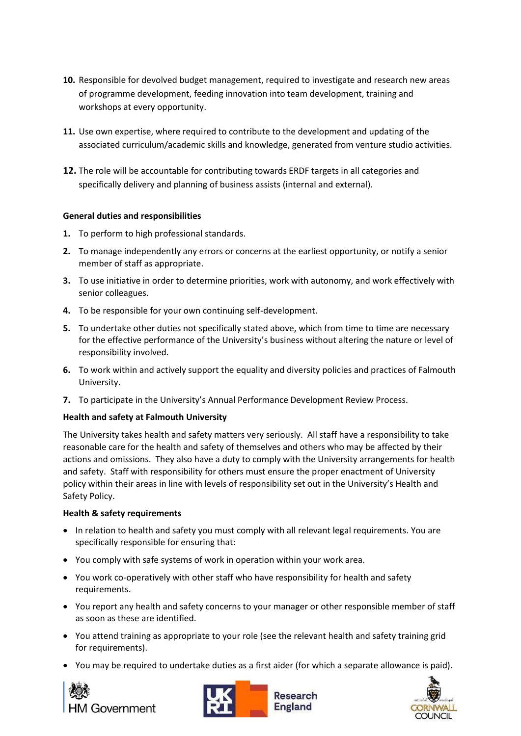- **10.** Responsible for devolved budget management, required to investigate and research new areas of programme development, feeding innovation into team development, training and workshops at every opportunity.
- **11.** Use own expertise, where required to contribute to the development and updating of the associated curriculum/academic skills and knowledge, generated from venture studio activities.
- **12.** The role will be accountable for contributing towards ERDF targets in all categories and specifically delivery and planning of business assists (internal and external).

## **General duties and responsibilities**

- **1.** To perform to high professional standards.
- **2.** To manage independently any errors or concerns at the earliest opportunity, or notify a senior member of staff as appropriate.
- **3.** To use initiative in order to determine priorities, work with autonomy, and work effectively with senior colleagues.
- **4.** To be responsible for your own continuing self-development.
- **5.** To undertake other duties not specifically stated above, which from time to time are necessary for the effective performance of the University's business without altering the nature or level of responsibility involved.
- **6.** To work within and actively support the equality and diversity policies and practices of Falmouth University.
- **7.** To participate in the University's Annual Performance Development Review Process.

## **Health and safety at Falmouth University**

The University takes health and safety matters very seriously. All staff have a responsibility to take reasonable care for the health and safety of themselves and others who may be affected by their actions and omissions. They also have a duty to comply with the University arrangements for health and safety. Staff with responsibility for others must ensure the proper enactment of University policy within their areas in line with levels of responsibility set out in the University's Health and Safety Policy.

## **Health & safety requirements**

- In relation to health and safety you must comply with all relevant legal requirements. You are specifically responsible for ensuring that:
- You comply with safe systems of work in operation within your work area.
- You work co-operatively with other staff who have responsibility for health and safety requirements.
- You report any health and safety concerns to your manager or other responsible member of staff as soon as these are identified.
- You attend training as appropriate to your role (see the relevant health and safety training grid for requirements).
- You may be required to undertake duties as a first aider (for which a separate allowance is paid).







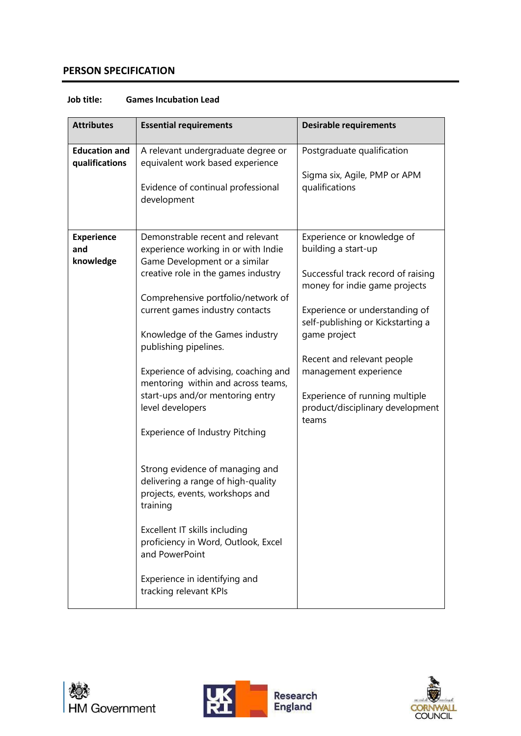# **PERSON SPECIFICATION**

| <b>Attributes</b>                      | <b>Essential requirements</b>                                                                                                                                                                                                                                                                                                                                                                                                                                                                                                                                                                                                                                                                                           | <b>Desirable requirements</b>                                                                                                                                                                                                                                                                                                                         |
|----------------------------------------|-------------------------------------------------------------------------------------------------------------------------------------------------------------------------------------------------------------------------------------------------------------------------------------------------------------------------------------------------------------------------------------------------------------------------------------------------------------------------------------------------------------------------------------------------------------------------------------------------------------------------------------------------------------------------------------------------------------------------|-------------------------------------------------------------------------------------------------------------------------------------------------------------------------------------------------------------------------------------------------------------------------------------------------------------------------------------------------------|
| <b>Education and</b><br>qualifications | A relevant undergraduate degree or<br>equivalent work based experience<br>Evidence of continual professional<br>development                                                                                                                                                                                                                                                                                                                                                                                                                                                                                                                                                                                             | Postgraduate qualification<br>Sigma six, Agile, PMP or APM<br>qualifications                                                                                                                                                                                                                                                                          |
| <b>Experience</b><br>and<br>knowledge  | Demonstrable recent and relevant<br>experience working in or with Indie<br>Game Development or a similar<br>creative role in the games industry<br>Comprehensive portfolio/network of<br>current games industry contacts<br>Knowledge of the Games industry<br>publishing pipelines.<br>Experience of advising, coaching and<br>mentoring within and across teams,<br>start-ups and/or mentoring entry<br>level developers<br><b>Experience of Industry Pitching</b><br>Strong evidence of managing and<br>delivering a range of high-quality<br>projects, events, workshops and<br>training<br>Excellent IT skills including<br>proficiency in Word, Outlook, Excel<br>and PowerPoint<br>Experience in identifying and | Experience or knowledge of<br>building a start-up<br>Successful track record of raising<br>money for indie game projects<br>Experience or understanding of<br>self-publishing or Kickstarting a<br>game project<br>Recent and relevant people<br>management experience<br>Experience of running multiple<br>product/disciplinary development<br>teams |
|                                        | tracking relevant KPIs                                                                                                                                                                                                                                                                                                                                                                                                                                                                                                                                                                                                                                                                                                  |                                                                                                                                                                                                                                                                                                                                                       |

# **Job title: Games Incubation Lead**